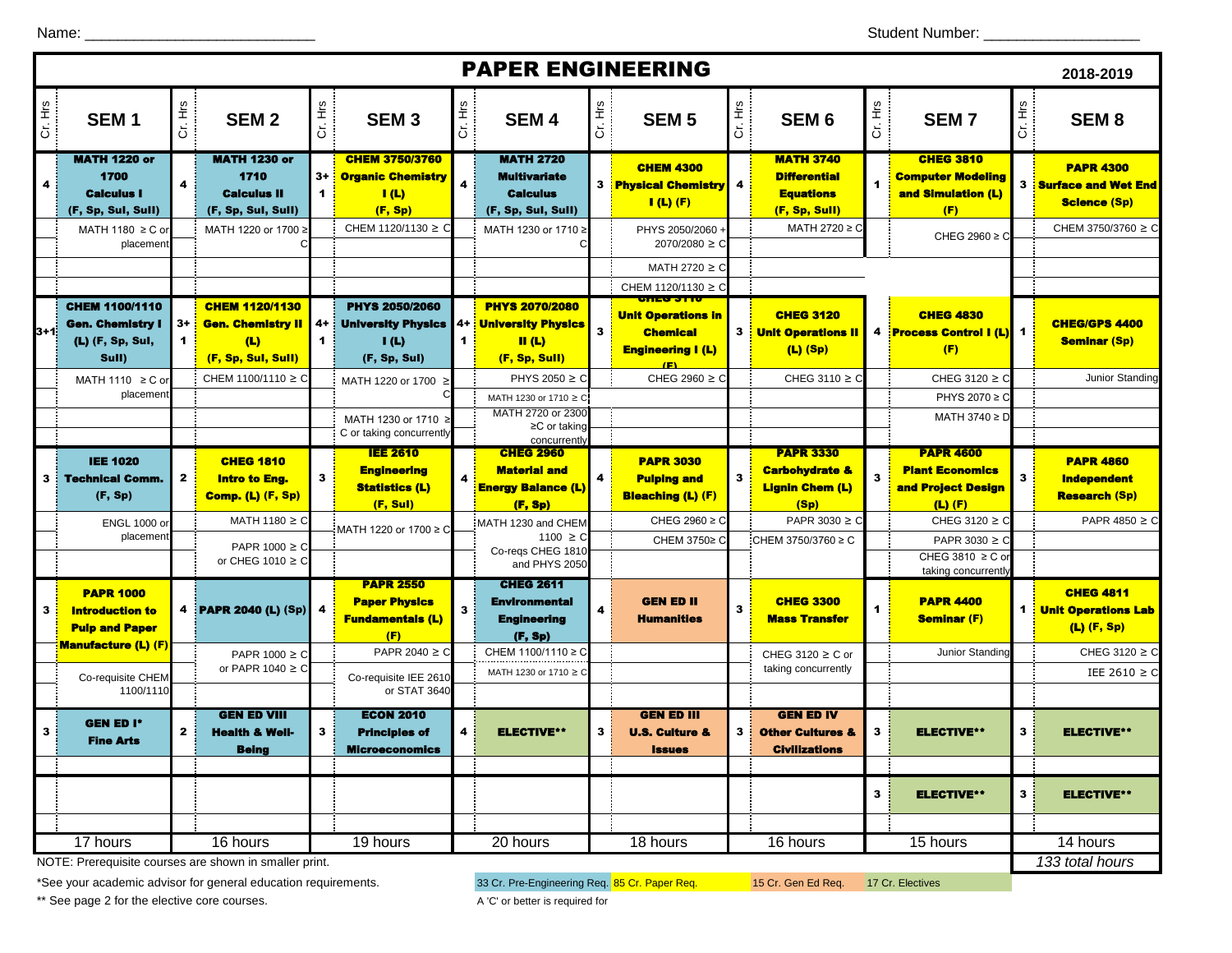| <b>PAPER ENGINEERING</b><br>2018-2019 |                                                                               |                     |                                                                                |                    |                                                                            |                            |                                                                                          |                         |                                                                          |                |                                                                                 |         |                                                                                              |         |                                                                       |
|---------------------------------------|-------------------------------------------------------------------------------|---------------------|--------------------------------------------------------------------------------|--------------------|----------------------------------------------------------------------------|----------------------------|------------------------------------------------------------------------------------------|-------------------------|--------------------------------------------------------------------------|----------------|---------------------------------------------------------------------------------|---------|----------------------------------------------------------------------------------------------|---------|-----------------------------------------------------------------------|
| Cr. Hrs                               | SEM <sub>1</sub>                                                              | Cr. Hrs             | SEM <sub>2</sub>                                                               | 호                  | SEM <sub>3</sub>                                                           | Cr. Hrs                    | SEM <sub>4</sub>                                                                         | Cr. Hrs                 | <b>SEM 5</b>                                                             | Cr. Hrs        | SEM <sub>6</sub>                                                                | Cr. Hrs | <b>SEM7</b>                                                                                  | Cr. Hrs | SEM <sub>8</sub>                                                      |
|                                       | <b>MATH 1220 or</b><br>1700<br><b>Calculus I</b><br>(F, Sp, Sul, Sull)        | 4                   | <b>MATH 1230 or</b><br>1710<br><b>Calculus II</b><br>(F, Sp, Sul, Sull)        | $3+$<br>1          | <b>CHEM 3750/3760</b><br><b>Organic Chemistry</b><br>I(L)<br>(F, Sp)       | 4                          | <b>MATH 2720</b><br><b>Multivariate</b><br><b>Calculus</b><br>(F, Sp, Sul, Sull)         |                         | <b>CHEM 4300</b><br><b>3</b> Physical Chemistry<br>$I(L)$ (F)            | 4              | <b>MATH 3740</b><br><b>Differential</b><br><b>Equations</b><br>(F, Sp, Sull)    |         | <b>CHEG 3810</b><br><b>Computer Modeling</b><br>and Simulation (L)<br>(F)                    | 3       | <b>PAPR 4300</b><br><b>Surface and Wet End</b><br><b>Science (Sp)</b> |
|                                       | MATH 1180 $\geq$ C or<br>placemen                                             |                     | MATH 1220 or 1700 ≥                                                            |                    | CHEM 1120/1130 ≥ C                                                         |                            | MATH 1230 or 1710 ≥                                                                      |                         | PHYS 2050/2060 -<br>2070/2080 ≥ C                                        |                | MATH 2720 ≥ C                                                                   |         | CHEG 2960 $\geq$ C                                                                           |         | CHEM 3750/3760 ≥ C                                                    |
|                                       |                                                                               |                     |                                                                                |                    |                                                                            |                            |                                                                                          |                         | MATH 2720 $\geq$ C<br>CHEM 1120/1130 $\geq$ C                            |                |                                                                                 |         |                                                                                              |         |                                                                       |
| l3+1i                                 | <b>CHEM 1100/1110</b><br><b>Gen. Chemistry I</b><br>(L) (F, Sp, Sul,<br>Sull) | $3+$<br>$\mathbf 1$ | <b>CHEM 1120/1130</b><br><b>Gen. Chemistry II</b><br>(L)<br>(F, Sp, Sul, Sull) | 4+<br>$\mathbf{1}$ | <b>PHYS 2050/2060</b><br><b>University Physics</b><br>I(L)<br>(F, Sp, Sul) | 4+<br>$\blacktriangleleft$ | <b>PHYS 2070/2080</b><br><b>University Physics</b><br>$\mathbf{II}$ (L)<br>(F, Sp, Sull) | $\overline{\mathbf{3}}$ | <b>Unit Operations in</b><br><b>Chemical</b><br><b>Engineering I (L)</b> |                | <b>CHEG 3120</b><br><b>3 : Unit Operations II</b><br>$(L)$ (Sp)                 |         | <b>CHEG 4830</b><br>4 Process Control I (L)<br>(F)                                           |         | <b>CHEG/GPS 4400</b><br><b>Seminar (Sp)</b>                           |
|                                       | MATH 1110 $\geq$ C o<br>placemen                                              |                     | CHEM 1100/1110 ≥ C                                                             |                    | MATH 1220 or 1700 ≥                                                        |                            | PHYS 2050 $\geq$ C<br>MATH 1230 or 1710 ≥ C                                              |                         | CHEG 2960 ≥ C                                                            |                | CHEG 3110 $\geq$ C                                                              |         | CHEG 3120 $\geq$ C<br>PHYS 2070 ≥ C                                                          |         | Junior Standing                                                       |
|                                       |                                                                               |                     |                                                                                |                    | MATH 1230 or 1710<br>C or taking concurrently                              |                            | MATH 2720 or 2300<br>$\geq$ C or taking<br>concurrently                                  |                         |                                                                          |                |                                                                                 |         | MATH 3740 ≥ D                                                                                |         |                                                                       |
|                                       | <b>IEE 1020</b><br><b>3</b> Fechnical Comm.<br>(F, Sp)                        | $\mathbf{z}$        | <b>CHEG 1810</b><br><b>Intro to Eng.</b><br><b>Comp. (L) (F, Sp)</b>           | 3                  | <b>IEE 2610</b><br><b>Engineering</b><br><b>Statistics (L)</b><br>(F, Sul) | $\overline{\mathbf{a}}$    | <b>CHEG 2960</b><br><b>Material and</b><br><b>Energy Balance (L)</b>                     |                         | <b>PAPR 3030</b><br><b>Pulping and</b><br><b>Bleaching (L) (F)</b>       | 3              | <b>PAPR 3330</b><br><b>Carbohydrate &amp;</b><br><b>Lignin Chem (L)</b><br>(Sp) |         | <b>PAPR 4600</b><br><b>Plant Economics</b><br><mark>and Project Design</mark><br>$(L)$ $(F)$ | 3       | <b>PAPR 4860</b><br><b>Independent</b><br><b>Research (Sp)</b>        |
|                                       | ENGL 1000 o<br>placemen                                                       |                     | MATH 1180 $\geq$ C<br>PAPR $1000 \ge C$                                        |                    | MATH 1220 or 1700 ≥ C                                                      |                            | (F, Sp)<br>MATH 1230 and CHEM<br>$1100 \ge C$<br>Co-regs CHEG 1810                       |                         | CHEG 2960 $\geq$ C<br>CHEM 3750≥ C                                       |                | PAPR 3030 ≥ C<br>CHEM 3750/3760 ≥ C                                             |         | CHEG 3120 $\geq$ C<br>PAPR 3030 $\geq$ C                                                     |         | PAPR 4850 $\geq$ C                                                    |
|                                       | <b>PAPR 1000</b>                                                              |                     | or CHEG 1010 $\geq$ C                                                          |                    | <b>PAPR 2550</b>                                                           |                            | and PHYS 2050<br><b>CHEG 2611</b>                                                        |                         |                                                                          |                |                                                                                 |         | CHEG 3810 ≥ C or<br>taking concurrently                                                      |         | <b>CHEG 4811</b>                                                      |
| 3                                     | <b>Introduction to</b><br><b>Pulp and Paper</b>                               |                     | 4 PAPR 2040 (L) (Sp)                                                           |                    | <b>Paper Physics</b><br><b>Fundamentals (L)</b><br>(F)                     | 3                          | Environmental<br><b>Engineering</b><br>(F, Sp)                                           |                         | <b>GEN ED II</b><br><b>Humanities</b>                                    | 3              | <b>CHEG 3300</b><br><b>Mass Transfer</b>                                        |         | <b>PAPR 4400</b><br><b>Seminar (F)</b>                                                       |         | <b>1</b> Unit Operations Lab<br>$(L)$ (F, Sp)                         |
|                                       | <b>Manufacture (L) (F)</b><br>Co-requisite CHEM<br>1100/1110                  |                     | PAPR $1000 \ge C$<br>or PAPR 1040 $\geq$ C                                     |                    | PAPR 2040 ≥ C<br>Co-requisite IEE 2610<br>or STAT 3640                     |                            | CHEM 1100/1110 ≥ C<br>MATH 1230 or 1710 ≥ C                                              |                         |                                                                          |                | CHEG 3120 ≥ C or<br>taking concurrently                                         |         | Junior Standing                                                                              |         | CHEG 3120 $\geq$ C<br>IEE 2610 $\geq$ C                               |
| 3                                     | <b>GEN ED I*</b><br><b>Fine Arts</b>                                          | $\mathbf{2}$        | <b>GEN ED VIII</b><br><b>Health &amp; Well-</b><br><b>Being</b>                | 3                  | <b>ECON 2010</b><br><b>Principles of</b><br><b>Microeconomics</b>          | 4                          | <b>ELECTIVE**</b>                                                                        | 3                       | <b>GEN ED III</b><br><b>U.S. Culture &amp;</b><br><b>Issues</b>          | 3 <sup>1</sup> | <b>GEN ED IV</b><br><b>Other Cultures &amp;</b><br><b>Civilizations</b>         | 3       | <b>ELECTIVE**</b>                                                                            | 3       | <b>ELECTIVE**</b>                                                     |
|                                       |                                                                               |                     |                                                                                |                    |                                                                            |                            |                                                                                          |                         |                                                                          |                |                                                                                 | 3       | <b>ELECTIVE**</b>                                                                            | 3       | <b>ELECTIVE**</b>                                                     |
|                                       | 17 hours                                                                      |                     | 16 hours                                                                       |                    | 19 hours                                                                   |                            | 20 hours                                                                                 |                         | 18 hours                                                                 |                | 16 hours                                                                        |         | 15 hours                                                                                     |         | 14 hours                                                              |
|                                       |                                                                               |                     | NOTE: Prerequisite courses are shown in smaller print.                         |                    |                                                                            |                            |                                                                                          |                         |                                                                          |                |                                                                                 |         |                                                                                              |         | 133 total hours                                                       |

NOTE: Prerequisite courses are shown in smaller print.

\*See your academic advisor for general education requirements. <br>33 Cr. Pre-Engineering Req. Req. 15 Cr. Gen Ed Req. 17 Cr. Electives

\*\* See page 2 for the elective core courses. A 'C' or better is required for